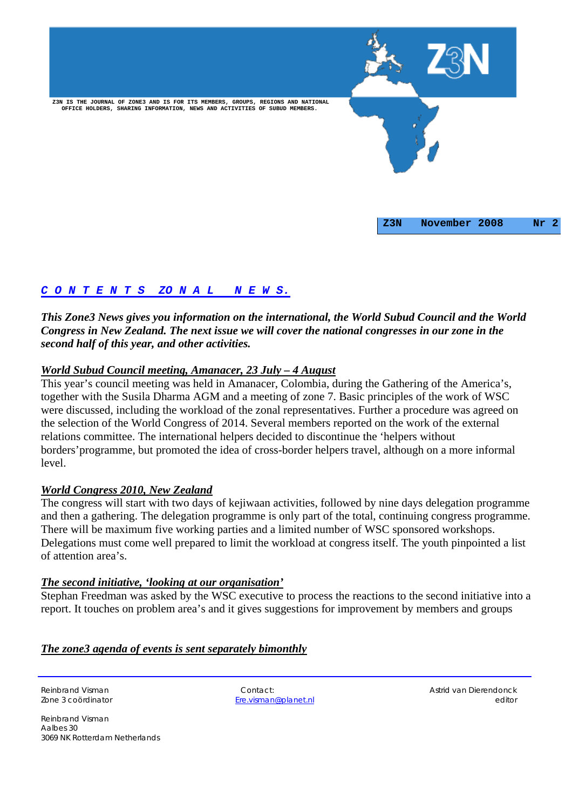

# *C O N T E N T S ZO N A L N E W S.*

*This Zone3 News gives you information on the international, the World Subud Council and the World Congress in New Zealand. The next issue we will cover the national congresses in our zone in the second half of this year, and other activities.* 

## *World Subud Council meeting, Amanacer, 23 July – 4 August*

This year's council meeting was held in Amanacer, Colombia, during the Gathering of the America's, together with the Susila Dharma AGM and a meeting of zone 7. Basic principles of the work of WSC were discussed, including the workload of the zonal representatives. Further a procedure was agreed on the selection of the World Congress of 2014. Several members reported on the work of the external relations committee. The international helpers decided to discontinue the 'helpers without borders'programme, but promoted the idea of cross-border helpers travel, although on a more informal level.

## *World Congress 2010, New Zealand*

The congress will start with two days of kejiwaan activities, followed by nine days delegation programme and then a gathering. The delegation programme is only part of the total, continuing congress programme. There will be maximum five working parties and a limited number of WSC sponsored workshops. Delegations must come well prepared to limit the workload at congress itself. The youth pinpointed a list of attention area's.

#### *The second initiative, 'looking at our organisation'*

Stephan Freedman was asked by the WSC executive to process the reactions to the second initiative into a report. It touches on problem area's and it gives suggestions for improvement by members and groups

## *The zone3 agenda of events is sent separately bimonthly*

Ere.visman@planet.nl

Reinbrand Visman Contact: Contact: Contact: Contact: Astrid van Dierendonck<br>
Reinbrand Visman Contact: Contact: Contact: Contact: Contact: Contact: Contact: Contact: Contact: Contact: Co editor

Reinbrand Visman Aalbes 30 3069 NK Rotterdam Netherlands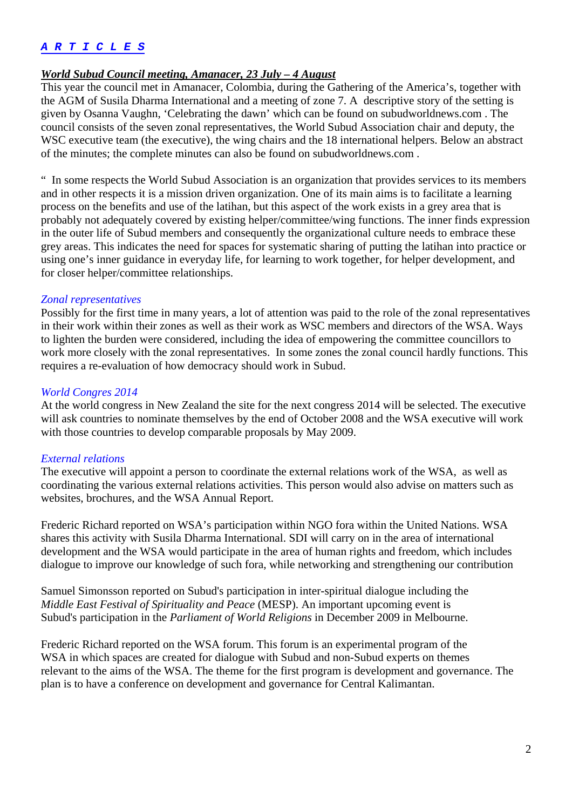### *A R T I C L E S*

#### *World Subud Council meeting, Amanacer, 23 July – 4 August*

This year the council met in Amanacer, Colombia, during the Gathering of the America's, together with the AGM of Susila Dharma International and a meeting of zone 7. A descriptive story of the setting is given by Osanna Vaughn, 'Celebrating the dawn' which can be found on subudworldnews.com . The council consists of the seven zonal representatives, the World Subud Association chair and deputy, the WSC executive team (the executive), the wing chairs and the 18 international helpers. Below an abstract of the minutes; the complete minutes can also be found on subudworldnews.com .

" In some respects the World Subud Association is an organization that provides services to its members and in other respects it is a mission driven organization. One of its main aims is to facilitate a learning process on the benefits and use of the latihan, but this aspect of the work exists in a grey area that is probably not adequately covered by existing helper/committee/wing functions. The inner finds expression in the outer life of Subud members and consequently the organizational culture needs to embrace these grey areas. This indicates the need for spaces for systematic sharing of putting the latihan into practice or using one's inner guidance in everyday life, for learning to work together, for helper development, and for closer helper/committee relationships.

#### *Zonal representatives*

Possibly for the first time in many years, a lot of attention was paid to the role of the zonal representatives in their work within their zones as well as their work as WSC members and directors of the WSA. Ways to lighten the burden were considered, including the idea of empowering the committee councillors to work more closely with the zonal representatives. In some zones the zonal council hardly functions. This requires a re-evaluation of how democracy should work in Subud.

#### *World Congres 2014*

At the world congress in New Zealand the site for the next congress 2014 will be selected. The executive will ask countries to nominate themselves by the end of October 2008 and the WSA executive will work with those countries to develop comparable proposals by May 2009.

#### *External relations*

The executive will appoint a person to coordinate the external relations work of the WSA, as well as coordinating the various external relations activities. This person would also advise on matters such as websites, brochures, and the WSA Annual Report.

Frederic Richard reported on WSA's participation within NGO fora within the United Nations. WSA shares this activity with Susila Dharma International. SDI will carry on in the area of international development and the WSA would participate in the area of human rights and freedom, which includes dialogue to improve our knowledge of such fora, while networking and strengthening our contribution

Samuel Simonsson reported on Subud's participation in inter-spiritual dialogue including the *Middle East Festival of Spirituality and Peace* (MESP). An important upcoming event is Subud's participation in the *Parliament of World Religions* in December 2009 in Melbourne.

Frederic Richard reported on the WSA forum. This forum is an experimental program of the WSA in which spaces are created for dialogue with Subud and non-Subud experts on themes relevant to the aims of the WSA. The theme for the first program is development and governance. The plan is to have a conference on development and governance for Central Kalimantan.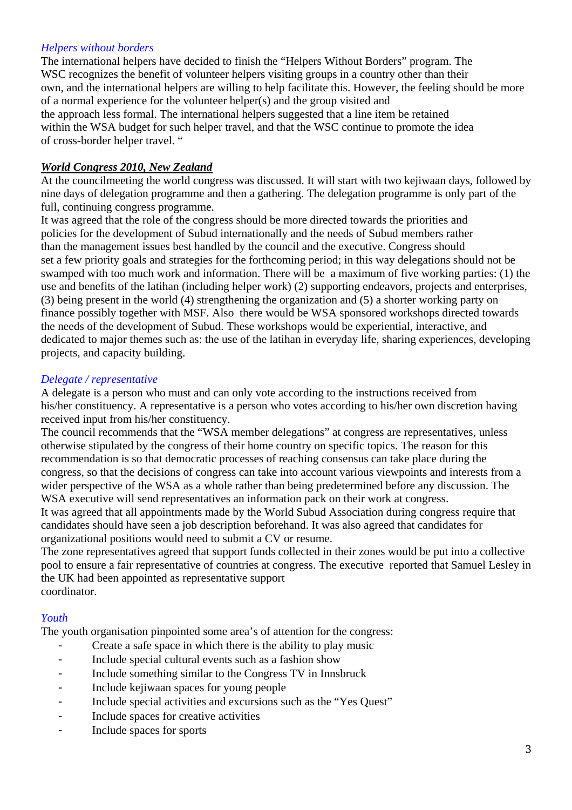## *Helpers without borders*

The international helpers have decided to finish the "Helpers Without Borders" program. The WSC recognizes the benefit of volunteer helpers visiting groups in a country other than their own, and the international helpers are willing to help facilitate this. However, the feeling should be more of a normal experience for the volunteer helper(s) and the group visited and the approach less formal. The international helpers suggested that a line item be retained within the WSA budget for such helper travel, and that the WSC continue to promote the idea of cross-border helper travel. "

### *World Congress 2010, New Zealand*

At the councilmeeting the world congress was discussed. It will start with two kejiwaan days, followed by nine days of delegation programme and then a gathering. The delegation programme is only part of the full, continuing congress programme.

It was agreed that the role of the congress should be more directed towards the priorities and policies for the development of Subud internationally and the needs of Subud members rather than the management issues best handled by the council and the executive. Congress should set a few priority goals and strategies for the forthcoming period; in this way delegations should not be swamped with too much work and information. There will be a maximum of five working parties: (1) the use and benefits of the latihan (including helper work) (2) supporting endeavors, projects and enterprises, (3) being present in the world (4) strengthening the organization and (5) a shorter working party on finance possibly together with MSF. Also there would be WSA sponsored workshops directed towards the needs of the development of Subud. These workshops would be experiential, interactive, and dedicated to major themes such as: the use of the latihan in everyday life, sharing experiences, developing projects, and capacity building.

#### *Delegate / representative*

A delegate is a person who must and can only vote according to the instructions received from his/her constituency. A representative is a person who votes according to his/her own discretion having received input from his/her constituency.

The council recommends that the "WSA member delegations" at congress are representatives, unless otherwise stipulated by the congress of their home country on specific topics. The reason for this recommendation is so that democratic processes of reaching consensus can take place during the congress, so that the decisions of congress can take into account various viewpoints and interests from a wider perspective of the WSA as a whole rather than being predetermined before any discussion. The WSA executive will send representatives an information pack on their work at congress.

It was agreed that all appointments made by the World Subud Association during congress require that candidates should have seen a job description beforehand. It was also agreed that candidates for organizational positions would need to submit a CV or resume.

The zone representatives agreed that support funds collected in their zones would be put into a collective pool to ensure a fair representative of countries at congress. The executive reported that Samuel Lesley in the UK had been appointed as representative support coordinator.

## *Youth*

The youth organisation pinpointed some area's of attention for the congress:

- Create a safe space in which there is the ability to play music
- Include special cultural events such as a fashion show
- Include something similar to the Congress TV in Innsbruck
- Include kejiwaan spaces for young people
- Include special activities and excursions such as the "Yes Ouest"
- Include spaces for creative activities
- Include spaces for sports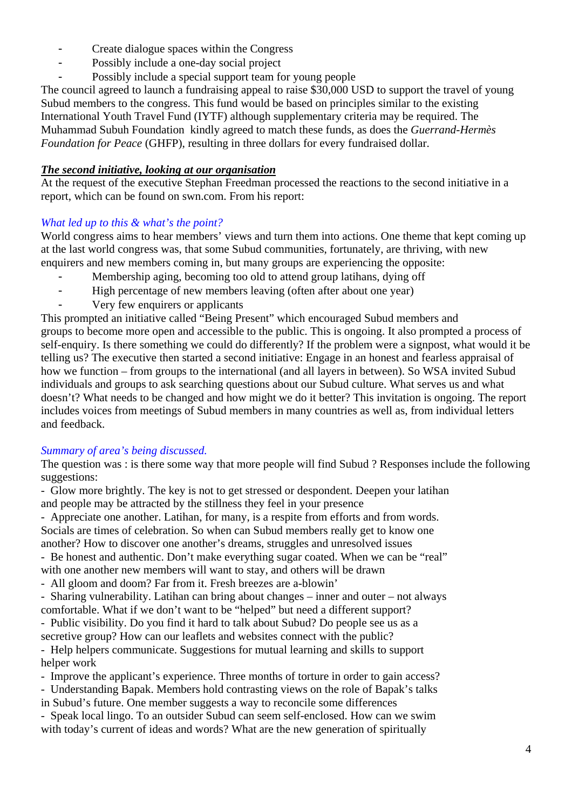- Create dialogue spaces within the Congress
- Possibly include a one-day social project
- Possibly include a special support team for young people

The council agreed to launch a fundraising appeal to raise \$30,000 USD to support the travel of young Subud members to the congress. This fund would be based on principles similar to the existing International Youth Travel Fund (IYTF) although supplementary criteria may be required. The Muhammad Subuh Foundation kindly agreed to match these funds, as does the *Guerrand-Hermès Foundation for Peace* (GHFP), resulting in three dollars for every fundraised dollar.

## *The second initiative, looking at our organisation*

At the request of the executive Stephan Freedman processed the reactions to the second initiative in a report, which can be found on swn.com. From his report:

# *What led up to this & what's the point?*

World congress aims to hear members' views and turn them into actions. One theme that kept coming up at the last world congress was, that some Subud communities, fortunately, are thriving, with new enquirers and new members coming in, but many groups are experiencing the opposite:

- Membership aging, becoming too old to attend group latihans, dying off
- High percentage of new members leaving (often after about one year)
- Very few enquirers or applicants

This prompted an initiative called "Being Present" which encouraged Subud members and groups to become more open and accessible to the public. This is ongoing. It also prompted a process of self-enquiry. Is there something we could do differently? If the problem were a signpost, what would it be telling us? The executive then started a second initiative: Engage in an honest and fearless appraisal of how we function – from groups to the international (and all layers in between). So WSA invited Subud individuals and groups to ask searching questions about our Subud culture. What serves us and what doesn't? What needs to be changed and how might we do it better? This invitation is ongoing. The report includes voices from meetings of Subud members in many countries as well as, from individual letters and feedback.

## *Summary of area's being discussed.*

The question was : is there some way that more people will find Subud ? Responses include the following suggestions:

- Glow more brightly. The key is not to get stressed or despondent. Deepen your latihan and people may be attracted by the stillness they feel in your presence

- Appreciate one another. Latihan, for many, is a respite from efforts and from words. Socials are times of celebration. So when can Subud members really get to know one another? How to discover one another's dreams, struggles and unresolved issues

- Be honest and authentic. Don't make everything sugar coated. When we can be "real" with one another new members will want to stay, and others will be drawn

- All gloom and doom? Far from it. Fresh breezes are a-blowin'

- Sharing vulnerability. Latihan can bring about changes – inner and outer – not always comfortable. What if we don't want to be "helped" but need a different support? - Public visibility. Do you find it hard to talk about Subud? Do people see us as a

secretive group? How can our leaflets and websites connect with the public? - Help helpers communicate. Suggestions for mutual learning and skills to support helper work

- Improve the applicant's experience. Three months of torture in order to gain access?

- Understanding Bapak. Members hold contrasting views on the role of Bapak's talks

in Subud's future. One member suggests a way to reconcile some differences

- Speak local lingo. To an outsider Subud can seem self-enclosed. How can we swim with today's current of ideas and words? What are the new generation of spiritually